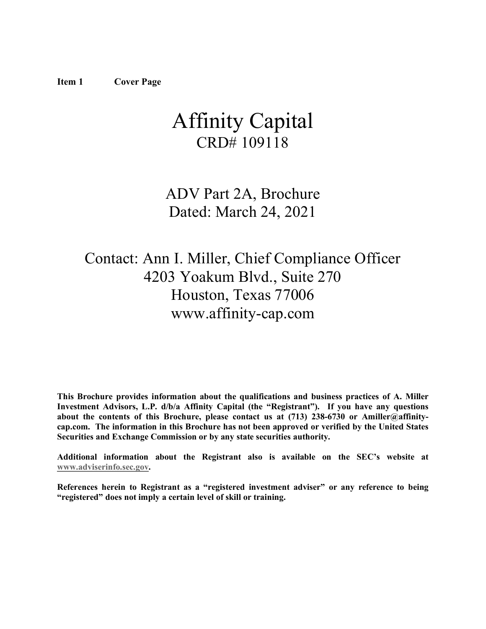# <span id="page-0-0"></span>Affinity Capital CRD# 109118

## ADV Part 2A, Brochure Dated: March 24, 2021

## Contact: Ann I. Miller, Chief Compliance Officer 4203 Yoakum Blvd., Suite 270 Houston, Texas 77006 www.affinity-cap.com

**This Brochure provides information about the qualifications and business practices of A. Miller Investment Advisors, L.P. d/b/a Affinity Capital (the "Registrant"). If you have any questions about the contents of this Brochure, please contact us at (713) 238-6730 or Amiller@affinitycap.com. The information in this Brochure has not been approved or verified by the United States Securities and Exchange Commission or by any state securities authority.**

**Additional information about the Registrant also is available on the SEC's website at [www.adviserinfo.sec.gov.](http://www.adviserinfo.sec.gov/)**

<span id="page-0-1"></span>**References herein to Registrant as a "registered investment adviser" or any reference to being "registered" does not imply a certain level of skill or training.**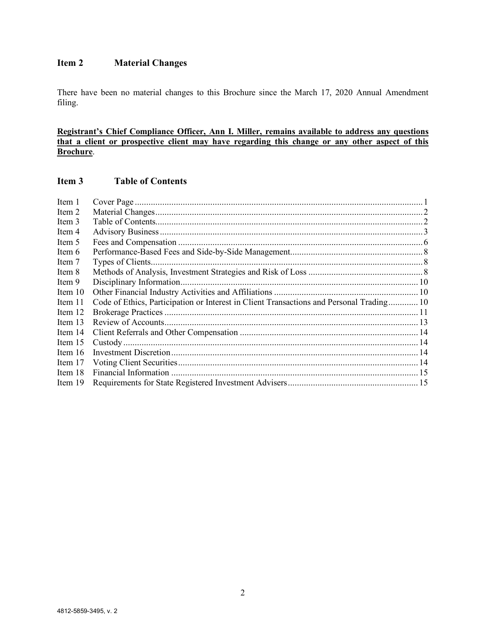### **Item 2 Material Changes**

There have been no material changes to this Brochure since the March 17, 2020 Annual Amendment filing.

**Registrant's Chief Compliance Officer, Ann I. Miller, remains available to address any questions that a client or prospective client may have regarding this change or any other aspect of this Brochure**.

### <span id="page-1-0"></span>**Item 3 Table of Contents**

| Item 1    |                                                                                          |  |
|-----------|------------------------------------------------------------------------------------------|--|
| Item 2    |                                                                                          |  |
| Item 3    |                                                                                          |  |
| Item 4    |                                                                                          |  |
| Item 5    |                                                                                          |  |
| Item 6    |                                                                                          |  |
| Item 7    |                                                                                          |  |
| Item 8    |                                                                                          |  |
| Item 9    |                                                                                          |  |
| Item $10$ |                                                                                          |  |
| Item 11   | Code of Ethics, Participation or Interest in Client Transactions and Personal Trading 10 |  |
| Item 12   |                                                                                          |  |
| Item $13$ |                                                                                          |  |
| Item 14   |                                                                                          |  |
| Item $15$ |                                                                                          |  |
| Item $16$ |                                                                                          |  |
| Item 17   |                                                                                          |  |
| Item 18   |                                                                                          |  |
| Item 19   |                                                                                          |  |
|           |                                                                                          |  |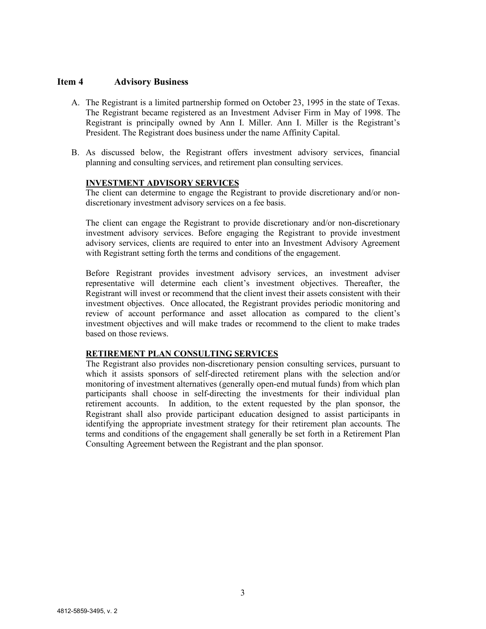#### <span id="page-2-0"></span>**Item 4 Advisory Business**

- A. The Registrant is a limited partnership formed on October 23, 1995 in the state of Texas. The Registrant became registered as an Investment Adviser Firm in May of 1998. The Registrant is principally owned by Ann I. Miller. Ann I. Miller is the Registrant's President. The Registrant does business under the name Affinity Capital.
- B. As discussed below, the Registrant offers investment advisory services, financial planning and consulting services, and retirement plan consulting services.

#### **INVESTMENT ADVISORY SERVICES**

The client can determine to engage the Registrant to provide discretionary and/or nondiscretionary investment advisory services on a fee basis.

The client can engage the Registrant to provide discretionary and/or non-discretionary investment advisory services. Before engaging the Registrant to provide investment advisory services, clients are required to enter into an Investment Advisory Agreement with Registrant setting forth the terms and conditions of the engagement.

Before Registrant provides investment advisory services, an investment adviser representative will determine each client's investment objectives. Thereafter, the Registrant will invest or recommend that the client invest their assets consistent with their investment objectives. Once allocated, the Registrant provides periodic monitoring and review of account performance and asset allocation as compared to the client's investment objectives and will make trades or recommend to the client to make trades based on those reviews.

#### **RETIREMENT PLAN CONSULTING SERVICES**

The Registrant also provides non-discretionary pension consulting services, pursuant to which it assists sponsors of self-directed retirement plans with the selection and/or monitoring of investment alternatives (generally open-end mutual funds) from which plan participants shall choose in self-directing the investments for their individual plan retirement accounts. In addition, to the extent requested by the plan sponsor, the Registrant shall also provide participant education designed to assist participants in identifying the appropriate investment strategy for their retirement plan accounts. The terms and conditions of the engagement shall generally be set forth in a Retirement Plan Consulting Agreement between the Registrant and the plan sponsor.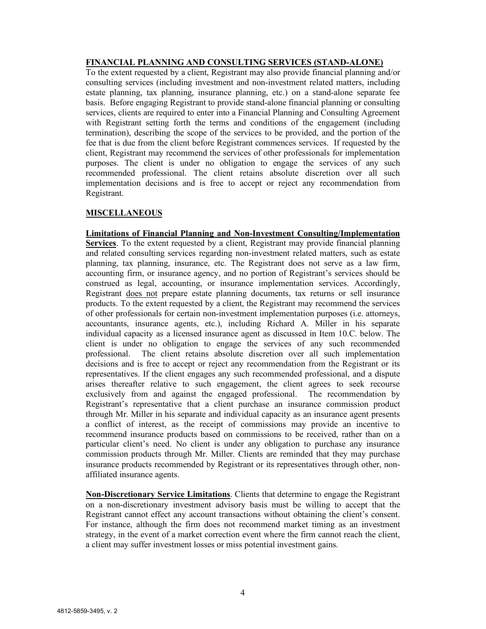#### **FINANCIAL PLANNING AND CONSULTING SERVICES (STAND-ALONE)**

To the extent requested by a client, Registrant may also provide financial planning and/or consulting services (including investment and non-investment related matters, including estate planning, tax planning, insurance planning, etc.) on a stand-alone separate fee basis. Before engaging Registrant to provide stand-alone financial planning or consulting services, clients are required to enter into a Financial Planning and Consulting Agreement with Registrant setting forth the terms and conditions of the engagement (including termination), describing the scope of the services to be provided, and the portion of the fee that is due from the client before Registrant commences services. If requested by the client, Registrant may recommend the services of other professionals for implementation purposes. The client is under no obligation to engage the services of any such recommended professional. The client retains absolute discretion over all such implementation decisions and is free to accept or reject any recommendation from Registrant.

#### **MISCELLANEOUS**

**Limitations of Financial Planning and Non-Investment Consulting/Implementation Services**. To the extent requested by a client, Registrant may provide financial planning and related consulting services regarding non-investment related matters, such as estate planning, tax planning, insurance, etc. The Registrant does not serve as a law firm, accounting firm, or insurance agency, and no portion of Registrant's services should be construed as legal, accounting, or insurance implementation services. Accordingly, Registrant does not prepare estate planning documents, tax returns or sell insurance products. To the extent requested by a client, the Registrant may recommend the services of other professionals for certain non-investment implementation purposes (i.e. attorneys, accountants, insurance agents, etc.), including Richard A. Miller in his separate individual capacity as a licensed insurance agent as discussed in Item 10.C. below. The client is under no obligation to engage the services of any such recommended professional. The client retains absolute discretion over all such implementation decisions and is free to accept or reject any recommendation from the Registrant or its representatives. If the client engages any such recommended professional, and a dispute arises thereafter relative to such engagement, the client agrees to seek recourse exclusively from and against the engaged professional.The recommendation by Registrant's representative that a client purchase an insurance commission product through Mr. Miller in his separate and individual capacity as an insurance agent presents a conflict of interest, as the receipt of commissions may provide an incentive to recommend insurance products based on commissions to be received, rather than on a particular client's need. No client is under any obligation to purchase any insurance commission products through Mr. Miller. Clients are reminded that they may purchase insurance products recommended by Registrant or its representatives through other, nonaffiliated insurance agents.

**Non-Discretionary Service Limitations**. Clients that determine to engage the Registrant on a non-discretionary investment advisory basis must be willing to accept that the Registrant cannot effect any account transactions without obtaining the client's consent. For instance, although the firm does not recommend market timing as an investment strategy, in the event of a market correction event where the firm cannot reach the client, a client may suffer investment losses or miss potential investment gains.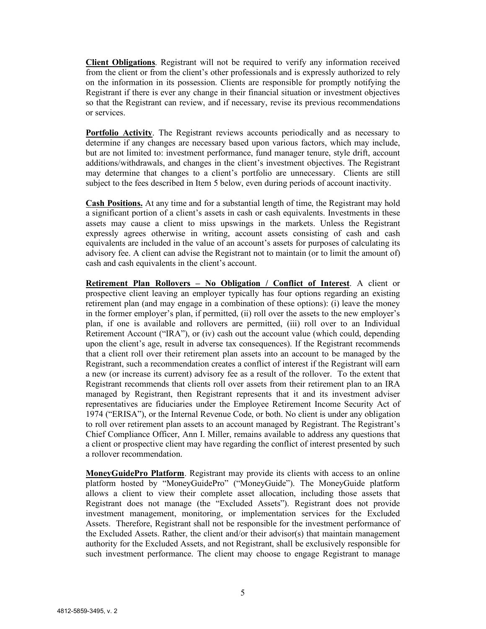**Client Obligations**. Registrant will not be required to verify any information received from the client or from the client's other professionals and is expressly authorized to rely on the information in its possession. Clients are responsible for promptly notifying the Registrant if there is ever any change in their financial situation or investment objectives so that the Registrant can review, and if necessary, revise its previous recommendations or services.

**Portfolio Activity**. The Registrant reviews accounts periodically and as necessary to determine if any changes are necessary based upon various factors, which may include, but are not limited to: investment performance, fund manager tenure, style drift, account additions/withdrawals, and changes in the client's investment objectives. The Registrant may determine that changes to a client's portfolio are unnecessary. Clients are still subject to the fees described in Item 5 below, even during periods of account inactivity.

**Cash Positions.** At any time and for a substantial length of time, the Registrant may hold a significant portion of a client's assets in cash or cash equivalents. Investments in these assets may cause a client to miss upswings in the markets. Unless the Registrant expressly agrees otherwise in writing, account assets consisting of cash and cash equivalents are included in the value of an account's assets for purposes of calculating its advisory fee. A client can advise the Registrant not to maintain (or to limit the amount of) cash and cash equivalents in the client's account.

**Retirement Plan Rollovers – No Obligation / Conflict of Interest**. A client or prospective client leaving an employer typically has four options regarding an existing retirement plan (and may engage in a combination of these options): (i) leave the money in the former employer's plan, if permitted, (ii) roll over the assets to the new employer's plan, if one is available and rollovers are permitted, (iii) roll over to an Individual Retirement Account ("IRA"), or (iv) cash out the account value (which could, depending upon the client's age, result in adverse tax consequences). If the Registrant recommends that a client roll over their retirement plan assets into an account to be managed by the Registrant, such a recommendation creates a conflict of interest if the Registrant will earn a new (or increase its current) advisory fee as a result of the rollover. To the extent that Registrant recommends that clients roll over assets from their retirement plan to an IRA managed by Registrant, then Registrant represents that it and its investment adviser representatives are fiduciaries under the Employee Retirement Income Security Act of 1974 ("ERISA"), or the Internal Revenue Code, or both. No client is under any obligation to roll over retirement plan assets to an account managed by Registrant. The Registrant's Chief Compliance Officer, Ann I. Miller, remains available to address any questions that a client or prospective client may have regarding the conflict of interest presented by such a rollover recommendation.

**MoneyGuidePro Platform**. Registrant may provide its clients with access to an online platform hosted by "MoneyGuidePro" ("MoneyGuide"). The MoneyGuide platform allows a client to view their complete asset allocation, including those assets that Registrant does not manage (the "Excluded Assets"). Registrant does not provide investment management, monitoring, or implementation services for the Excluded Assets. Therefore, Registrant shall not be responsible for the investment performance of the Excluded Assets. Rather, the client and/or their advisor(s) that maintain management authority for the Excluded Assets, and not Registrant, shall be exclusively responsible for such investment performance. The client may choose to engage Registrant to manage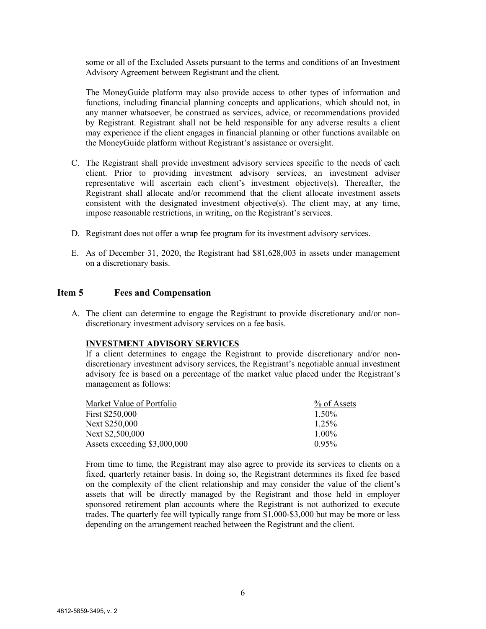some or all of the Excluded Assets pursuant to the terms and conditions of an Investment Advisory Agreement between Registrant and the client.

The MoneyGuide platform may also provide access to other types of information and functions, including financial planning concepts and applications, which should not, in any manner whatsoever, be construed as services, advice, or recommendations provided by Registrant. Registrant shall not be held responsible for any adverse results a client may experience if the client engages in financial planning or other functions available on the MoneyGuide platform without Registrant's assistance or oversight.

- C. The Registrant shall provide investment advisory services specific to the needs of each client. Prior to providing investment advisory services, an investment adviser representative will ascertain each client's investment objective(s). Thereafter, the Registrant shall allocate and/or recommend that the client allocate investment assets consistent with the designated investment objective(s). The client may, at any time, impose reasonable restrictions, in writing, on the Registrant's services.
- D. Registrant does not offer a wrap fee program for its investment advisory services.
- E. As of December 31, 2020, the Registrant had \$81,628,003 in assets under management on a discretionary basis.

#### <span id="page-5-0"></span>**Item 5 Fees and Compensation**

A. The client can determine to engage the Registrant to provide discretionary and/or nondiscretionary investment advisory services on a fee basis.

#### **INVESTMENT ADVISORY SERVICES**

If a client determines to engage the Registrant to provide discretionary and/or nondiscretionary investment advisory services, the Registrant's negotiable annual investment advisory fee is based on a percentage of the market value placed under the Registrant's management as follows:

| Market Value of Portfolio    | % of Assets |
|------------------------------|-------------|
| First \$250,000              | $1.50\%$    |
| Next \$250,000               | $1.25\%$    |
| Next \$2,500,000             | $1.00\%$    |
| Assets exceeding \$3,000,000 | $0.95\%$    |

From time to time, the Registrant may also agree to provide its services to clients on a fixed, quarterly retainer basis. In doing so, the Registrant determines its fixed fee based on the complexity of the client relationship and may consider the value of the client's assets that will be directly managed by the Registrant and those held in employer sponsored retirement plan accounts where the Registrant is not authorized to execute trades. The quarterly fee will typically range from \$1,000-\$3,000 but may be more or less depending on the arrangement reached between the Registrant and the client.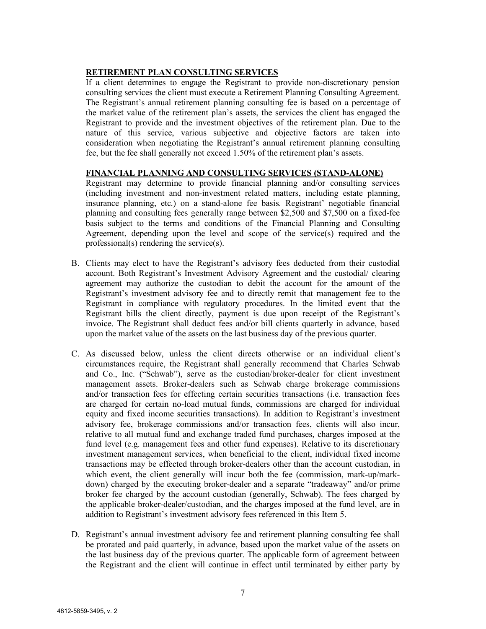#### **RETIREMENT PLAN CONSULTING SERVICES**

If a client determines to engage the Registrant to provide non-discretionary pension consulting services the client must execute a Retirement Planning Consulting Agreement. The Registrant's annual retirement planning consulting fee is based on a percentage of the market value of the retirement plan's assets, the services the client has engaged the Registrant to provide and the investment objectives of the retirement plan. Due to the nature of this service, various subjective and objective factors are taken into consideration when negotiating the Registrant's annual retirement planning consulting fee, but the fee shall generally not exceed 1.50% of the retirement plan's assets.

#### **FINANCIAL PLANNING AND CONSULTING SERVICES (STAND-ALONE)**

Registrant may determine to provide financial planning and/or consulting services (including investment and non-investment related matters, including estate planning, insurance planning, etc.) on a stand-alone fee basis. Registrant' negotiable financial planning and consulting fees generally range between \$2,500 and \$7,500 on a fixed-fee basis subject to the terms and conditions of the Financial Planning and Consulting Agreement, depending upon the level and scope of the service(s) required and the professional(s) rendering the service(s).

- B. Clients may elect to have the Registrant's advisory fees deducted from their custodial account. Both Registrant's Investment Advisory Agreement and the custodial/ clearing agreement may authorize the custodian to debit the account for the amount of the Registrant's investment advisory fee and to directly remit that management fee to the Registrant in compliance with regulatory procedures. In the limited event that the Registrant bills the client directly, payment is due upon receipt of the Registrant's invoice. The Registrant shall deduct fees and/or bill clients quarterly in advance, based upon the market value of the assets on the last business day of the previous quarter.
- C. As discussed below, unless the client directs otherwise or an individual client's circumstances require, the Registrant shall generally recommend that Charles Schwab and Co., Inc. ("Schwab"), serve as the custodian/broker-dealer for client investment management assets. Broker-dealers such as Schwab charge brokerage commissions and/or transaction fees for effecting certain securities transactions (i.e. transaction fees are charged for certain no-load mutual funds, commissions are charged for individual equity and fixed income securities transactions). In addition to Registrant's investment advisory fee, brokerage commissions and/or transaction fees, clients will also incur, relative to all mutual fund and exchange traded fund purchases, charges imposed at the fund level (e.g. management fees and other fund expenses). Relative to its discretionary investment management services, when beneficial to the client, individual fixed income transactions may be effected through broker-dealers other than the account custodian, in which event, the client generally will incur both the fee (commission, mark-up/markdown) charged by the executing broker-dealer and a separate "tradeaway" and/or prime broker fee charged by the account custodian (generally, Schwab). The fees charged by the applicable broker-dealer/custodian, and the charges imposed at the fund level, are in addition to Registrant's investment advisory fees referenced in this Item 5.
- D. Registrant's annual investment advisory fee and retirement planning consulting fee shall be prorated and paid quarterly, in advance, based upon the market value of the assets on the last business day of the previous quarter. The applicable form of agreement between the Registrant and the client will continue in effect until terminated by either party by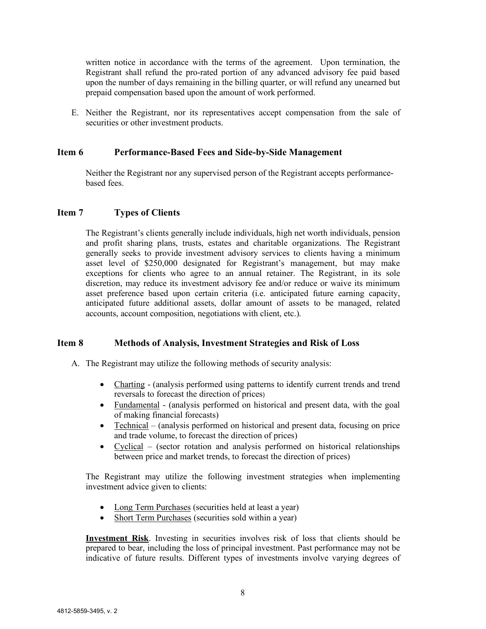written notice in accordance with the terms of the agreement. Upon termination, the Registrant shall refund the pro-rated portion of any advanced advisory fee paid based upon the number of days remaining in the billing quarter, or will refund any unearned but prepaid compensation based upon the amount of work performed.

E. Neither the Registrant, nor its representatives accept compensation from the sale of securities or other investment products.

#### **Item 6 Performance-Based Fees and Side-by-Side Management**

<span id="page-7-1"></span><span id="page-7-0"></span>Neither the Registrant nor any supervised person of the Registrant accepts performancebased fees.

#### **Item 7 Types of Clients**

The Registrant's clients generally include individuals, high net worth individuals, pension and profit sharing plans, trusts, estates and charitable organizations. The Registrant generally seeks to provide investment advisory services to clients having a minimum asset level of \$250,000 designated for Registrant's management, but may make exceptions for clients who agree to an annual retainer. The Registrant, in its sole discretion, may reduce its investment advisory fee and/or reduce or waive its minimum asset preference based upon certain criteria (i.e. anticipated future earning capacity, anticipated future additional assets, dollar amount of assets to be managed, related accounts, account composition, negotiations with client, etc.).

#### <span id="page-7-2"></span>**Item 8 Methods of Analysis, Investment Strategies and Risk of Loss**

A. The Registrant may utilize the following methods of security analysis:

- Charting (analysis performed using patterns to identify current trends and trend reversals to forecast the direction of prices)
- Fundamental (analysis performed on historical and present data, with the goal of making financial forecasts)
- Technical (analysis performed on historical and present data, focusing on price and trade volume, to forecast the direction of prices)
- Cyclical (sector rotation and analysis performed on historical relationships between price and market trends, to forecast the direction of prices)

The Registrant may utilize the following investment strategies when implementing investment advice given to clients:

- Long Term Purchases (securities held at least a year)
- Short Term Purchases (securities sold within a year)

**Investment Risk**. Investing in securities involves risk of loss that clients should be prepared to bear, including the loss of principal investment. Past performance may not be indicative of future results. Different types of investments involve varying degrees of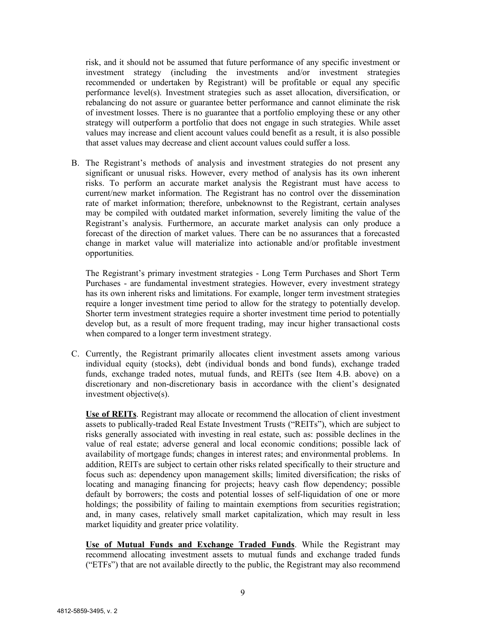risk, and it should not be assumed that future performance of any specific investment or investment strategy (including the investments and/or investment strategies recommended or undertaken by Registrant) will be profitable or equal any specific performance level(s). Investment strategies such as asset allocation, diversification, or rebalancing do not assure or guarantee better performance and cannot eliminate the risk of investment losses. There is no guarantee that a portfolio employing these or any other strategy will outperform a portfolio that does not engage in such strategies. While asset values may increase and client account values could benefit as a result, it is also possible that asset values may decrease and client account values could suffer a loss.

B. The Registrant's methods of analysis and investment strategies do not present any significant or unusual risks. However, every method of analysis has its own inherent risks. To perform an accurate market analysis the Registrant must have access to current/new market information. The Registrant has no control over the dissemination rate of market information; therefore, unbeknownst to the Registrant, certain analyses may be compiled with outdated market information, severely limiting the value of the Registrant's analysis. Furthermore, an accurate market analysis can only produce a forecast of the direction of market values. There can be no assurances that a forecasted change in market value will materialize into actionable and/or profitable investment opportunities.

The Registrant's primary investment strategies - Long Term Purchases and Short Term Purchases - are fundamental investment strategies. However, every investment strategy has its own inherent risks and limitations. For example, longer term investment strategies require a longer investment time period to allow for the strategy to potentially develop. Shorter term investment strategies require a shorter investment time period to potentially develop but, as a result of more frequent trading, may incur higher transactional costs when compared to a longer term investment strategy.

C. Currently, the Registrant primarily allocates client investment assets among various individual equity (stocks), debt (individual bonds and bond funds), exchange traded funds, exchange traded notes, mutual funds, and REITs (see Item 4.B. above) on a discretionary and non-discretionary basis in accordance with the client's designated investment objective(s).

**Use of REITs**. Registrant may allocate or recommend the allocation of client investment assets to publically-traded Real Estate Investment Trusts ("REITs"), which are subject to risks generally associated with investing in real estate, such as: possible declines in the value of real estate; adverse general and local economic conditions; possible lack of availability of mortgage funds; changes in interest rates; and environmental problems. In addition, REITs are subject to certain other risks related specifically to their structure and focus such as: dependency upon management skills; limited diversification; the risks of locating and managing financing for projects; heavy cash flow dependency; possible default by borrowers; the costs and potential losses of self-liquidation of one or more holdings; the possibility of failing to maintain exemptions from securities registration; and, in many cases, relatively small market capitalization, which may result in less market liquidity and greater price volatility.

**Use of Mutual Funds and Exchange Traded Funds**. While the Registrant may recommend allocating investment assets to mutual funds and exchange traded funds ("ETFs") that are not available directly to the public, the Registrant may also recommend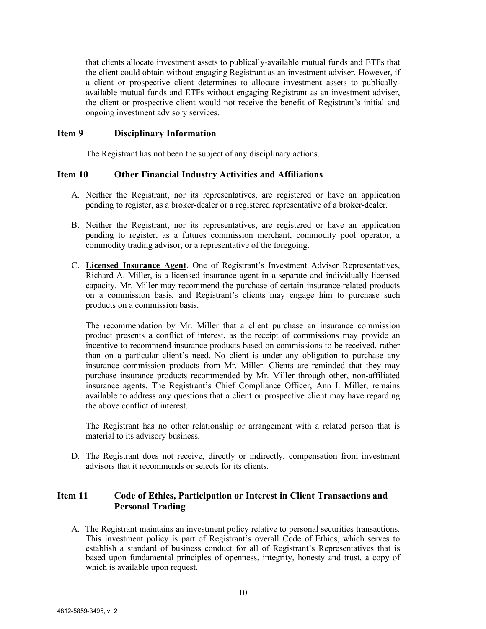that clients allocate investment assets to publically-available mutual funds and ETFs that the client could obtain without engaging Registrant as an investment adviser. However, if a client or prospective client determines to allocate investment assets to publicallyavailable mutual funds and ETFs without engaging Registrant as an investment adviser, the client or prospective client would not receive the benefit of Registrant's initial and ongoing investment advisory services.

#### <span id="page-9-0"></span>**Item 9 Disciplinary Information**

The Registrant has not been the subject of any disciplinary actions.

#### <span id="page-9-1"></span>**Item 10 Other Financial Industry Activities and Affiliations**

- A. Neither the Registrant, nor its representatives, are registered or have an application pending to register, as a broker-dealer or a registered representative of a broker-dealer.
- B. Neither the Registrant, nor its representatives, are registered or have an application pending to register, as a futures commission merchant, commodity pool operator, a commodity trading advisor, or a representative of the foregoing.
- C. **Licensed Insurance Agent**. One of Registrant's Investment Adviser Representatives, Richard A. Miller, is a licensed insurance agent in a separate and individually licensed capacity. Mr. Miller may recommend the purchase of certain insurance-related products on a commission basis, and Registrant's clients may engage him to purchase such products on a commission basis.

The recommendation by Mr. Miller that a client purchase an insurance commission product presents a conflict of interest, as the receipt of commissions may provide an incentive to recommend insurance products based on commissions to be received, rather than on a particular client's need. No client is under any obligation to purchase any insurance commission products from Mr. Miller. Clients are reminded that they may purchase insurance products recommended by Mr. Miller through other, non-affiliated insurance agents. The Registrant's Chief Compliance Officer, Ann I. Miller, remains available to address any questions that a client or prospective client may have regarding the above conflict of interest.

The Registrant has no other relationship or arrangement with a related person that is material to its advisory business.

D. The Registrant does not receive, directly or indirectly, compensation from investment advisors that it recommends or selects for its clients.

#### <span id="page-9-2"></span>**Item 11 Code of Ethics, Participation or Interest in Client Transactions and Personal Trading**

A. The Registrant maintains an investment policy relative to personal securities transactions. This investment policy is part of Registrant's overall Code of Ethics, which serves to establish a standard of business conduct for all of Registrant's Representatives that is based upon fundamental principles of openness, integrity, honesty and trust, a copy of which is available upon request.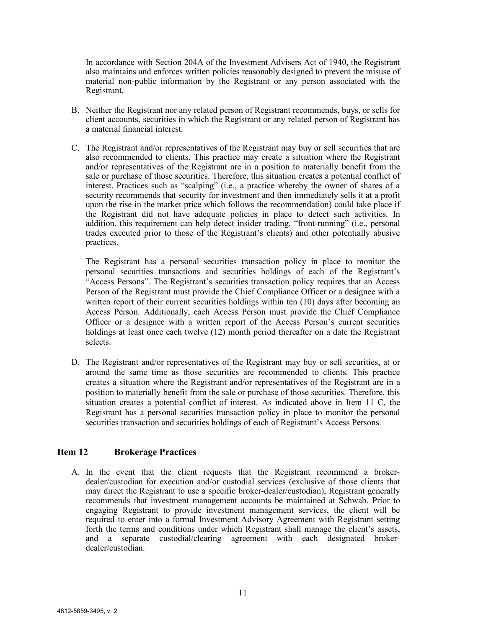In accordance with Section 204A of the Investment Advisers Act of 1940, the Registrant also maintains and enforces written policies reasonably designed to prevent the misuse of material non-public information by the Registrant or any person associated with the Registrant.

- B. Neither the Registrant nor any related person of Registrant recommends, buys, or sells for client accounts, securities in which the Registrant or any related person of Registrant has a material financial interest.
- C. The Registrant and/or representatives of the Registrant may buy or sell securities that are also recommended to clients. This practice may create a situation where the Registrant and/or representatives of the Registrant are in a position to materially benefit from the sale or purchase of those securities. Therefore, this situation creates a potential conflict of interest. Practices such as "scalping" (i.e., a practice whereby the owner of shares of a security recommends that security for investment and then immediately sells it at a profit upon the rise in the market price which follows the recommendation) could take place if the Registrant did not have adequate policies in place to detect such activities. In addition, this requirement can help detect insider trading, "front-running" (i.e., personal trades executed prior to those of the Registrant's clients) and other potentially abusive practices.

The Registrant has a personal securities transaction policy in place to monitor the personal securities transactions and securities holdings of each of the Registrant's "Access Persons". The Registrant's securities transaction policy requires that an Access Person of the Registrant must provide the Chief Compliance Officer or a designee with a written report of their current securities holdings within ten (10) days after becoming an Access Person. Additionally, each Access Person must provide the Chief Compliance Officer or a designee with a written report of the Access Person's current securities holdings at least once each twelve (12) month period thereafter on a date the Registrant selects.

D. The Registrant and/or representatives of the Registrant may buy or sell securities, at or around the same time as those securities are recommended to clients. This practice creates a situation where the Registrant and/or representatives of the Registrant are in a position to materially benefit from the sale or purchase of those securities. Therefore, this situation creates a potential conflict of interest. As indicated above in Item 11 C, the Registrant has a personal securities transaction policy in place to monitor the personal securities transaction and securities holdings of each of Registrant's Access Persons.

#### **Item 12 Brokerage Practices**

<span id="page-10-0"></span>A. In the event that the client requests that the Registrant recommend a brokerdealer/custodian for execution and/or custodial services (exclusive of those clients that may direct the Registrant to use a specific broker-dealer/custodian), Registrant generally recommends that investment management accounts be maintained at Schwab. Prior to engaging Registrant to provide investment management services, the client will be required to enter into a formal Investment Advisory Agreement with Registrant setting forth the terms and conditions under which Registrant shall manage the client's assets, and a separate custodial/clearing agreement with each designated brokerdealer/custodian.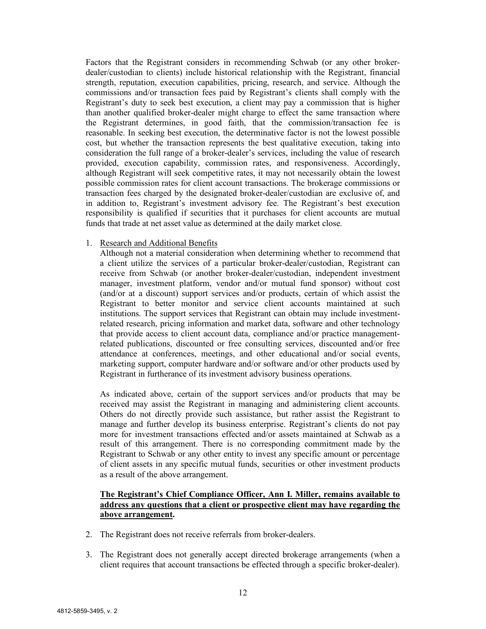Factors that the Registrant considers in recommending Schwab (or any other brokerdealer/custodian to clients) include historical relationship with the Registrant, financial strength, reputation, execution capabilities, pricing, research, and service. Although the commissions and/or transaction fees paid by Registrant's clients shall comply with the Registrant's duty to seek best execution, a client may pay a commission that is higher than another qualified broker-dealer might charge to effect the same transaction where the Registrant determines, in good faith, that the commission/transaction fee is reasonable. In seeking best execution, the determinative factor is not the lowest possible cost, but whether the transaction represents the best qualitative execution, taking into consideration the full range of a broker-dealer's services, including the value of research provided, execution capability, commission rates, and responsiveness. Accordingly, although Registrant will seek competitive rates, it may not necessarily obtain the lowest possible commission rates for client account transactions. The brokerage commissions or transaction fees charged by the designated broker-dealer/custodian are exclusive of, and in addition to, Registrant's investment advisory fee. The Registrant's best execution responsibility is qualified if securities that it purchases for client accounts are mutual funds that trade at net asset value as determined at the daily market close.

#### 1. Research and Additional Benefits

Although not a material consideration when determining whether to recommend that a client utilize the services of a particular broker-dealer/custodian, Registrant can receive from Schwab (or another broker-dealer/custodian, independent investment manager, investment platform, vendor and/or mutual fund sponsor) without cost (and/or at a discount) support services and/or products, certain of which assist the Registrant to better monitor and service client accounts maintained at such institutions. The support services that Registrant can obtain may include investmentrelated research, pricing information and market data, software and other technology that provide access to client account data, compliance and/or practice managementrelated publications, discounted or free consulting services, discounted and/or free attendance at conferences, meetings, and other educational and/or social events, marketing support, computer hardware and/or software and/or other products used by Registrant in furtherance of its investment advisory business operations.

As indicated above, certain of the support services and/or products that may be received may assist the Registrant in managing and administering client accounts. Others do not directly provide such assistance, but rather assist the Registrant to manage and further develop its business enterprise. Registrant's clients do not pay more for investment transactions effected and/or assets maintained at Schwab as a result of this arrangement. There is no corresponding commitment made by the Registrant to Schwab or any other entity to invest any specific amount or percentage of client assets in any specific mutual funds, securities or other investment products as a result of the above arrangement.

#### **The Registrant's Chief Compliance Officer, Ann I. Miller, remains available to address any questions that a client or prospective client may have regarding the above arrangement.**

- 2. The Registrant does not receive referrals from broker-dealers.
- 3. The Registrant does not generally accept directed brokerage arrangements (when a client requires that account transactions be effected through a specific broker-dealer).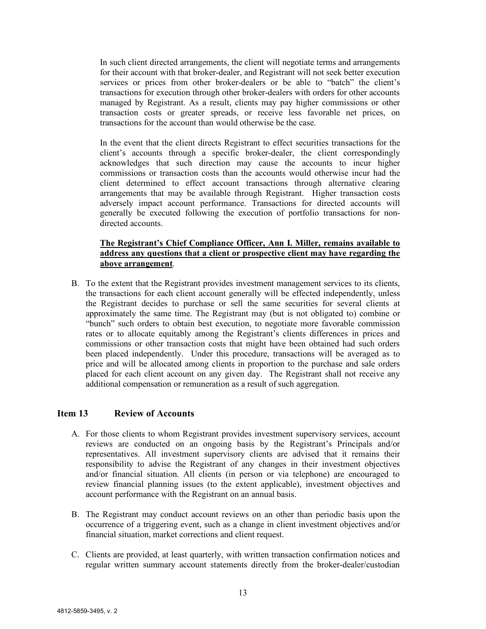In such client directed arrangements, the client will negotiate terms and arrangements for their account with that broker-dealer, and Registrant will not seek better execution services or prices from other broker-dealers or be able to "batch" the client's transactions for execution through other broker-dealers with orders for other accounts managed by Registrant. As a result, clients may pay higher commissions or other transaction costs or greater spreads, or receive less favorable net prices, on transactions for the account than would otherwise be the case.

In the event that the client directs Registrant to effect securities transactions for the client's accounts through a specific broker-dealer, the client correspondingly acknowledges that such direction may cause the accounts to incur higher commissions or transaction costs than the accounts would otherwise incur had the client determined to effect account transactions through alternative clearing arrangements that may be available through Registrant. Higher transaction costs adversely impact account performance. Transactions for directed accounts will generally be executed following the execution of portfolio transactions for nondirected accounts.

#### **The Registrant's Chief Compliance Officer, Ann I. Miller, remains available to address any questions that a client or prospective client may have regarding the above arrangement**.

B. To the extent that the Registrant provides investment management services to its clients, the transactions for each client account generally will be effected independently, unless the Registrant decides to purchase or sell the same securities for several clients at approximately the same time. The Registrant may (but is not obligated to) combine or "bunch" such orders to obtain best execution, to negotiate more favorable commission rates or to allocate equitably among the Registrant's clients differences in prices and commissions or other transaction costs that might have been obtained had such orders been placed independently. Under this procedure, transactions will be averaged as to price and will be allocated among clients in proportion to the purchase and sale orders placed for each client account on any given day. The Registrant shall not receive any additional compensation or remuneration as a result of such aggregation.

#### <span id="page-12-0"></span>**Item 13 Review of Accounts**

- A. For those clients to whom Registrant provides investment supervisory services, account reviews are conducted on an ongoing basis by the Registrant's Principals and/or representatives. All investment supervisory clients are advised that it remains their responsibility to advise the Registrant of any changes in their investment objectives and/or financial situation. All clients (in person or via telephone) are encouraged to review financial planning issues (to the extent applicable), investment objectives and account performance with the Registrant on an annual basis.
- B. The Registrant may conduct account reviews on an other than periodic basis upon the occurrence of a triggering event, such as a change in client investment objectives and/or financial situation, market corrections and client request.
- C. Clients are provided, at least quarterly, with written transaction confirmation notices and regular written summary account statements directly from the broker-dealer/custodian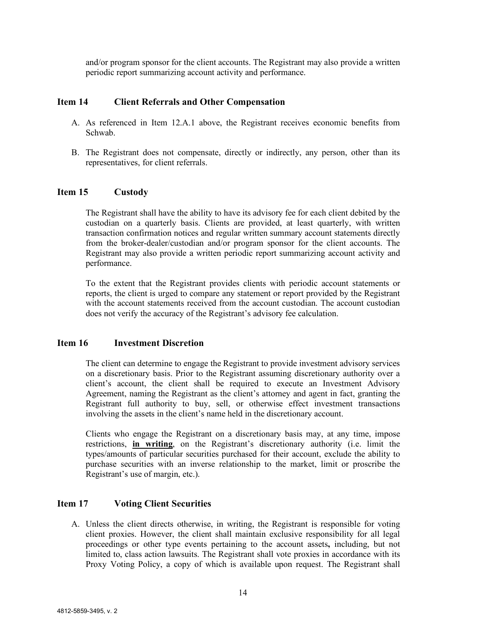and/or program sponsor for the client accounts. The Registrant may also provide a written periodic report summarizing account activity and performance.

#### <span id="page-13-0"></span>**Item 14 Client Referrals and Other Compensation**

- A. As referenced in Item 12.A.1 above, the Registrant receives economic benefits from Schwab.
- B. The Registrant does not compensate, directly or indirectly, any person, other than its representatives, for client referrals.

#### **Item 15 Custody**

<span id="page-13-1"></span>The Registrant shall have the ability to have its advisory fee for each client debited by the custodian on a quarterly basis. Clients are provided, at least quarterly, with written transaction confirmation notices and regular written summary account statements directly from the broker-dealer/custodian and/or program sponsor for the client accounts. The Registrant may also provide a written periodic report summarizing account activity and performance.

To the extent that the Registrant provides clients with periodic account statements or reports, the client is urged to compare any statement or report provided by the Registrant with the account statements received from the account custodian. The account custodian does not verify the accuracy of the Registrant's advisory fee calculation.

#### <span id="page-13-2"></span>**Item 16 Investment Discretion**

The client can determine to engage the Registrant to provide investment advisory services on a discretionary basis. Prior to the Registrant assuming discretionary authority over a client's account, the client shall be required to execute an Investment Advisory Agreement, naming the Registrant as the client's attorney and agent in fact, granting the Registrant full authority to buy, sell, or otherwise effect investment transactions involving the assets in the client's name held in the discretionary account.

Clients who engage the Registrant on a discretionary basis may, at any time, impose restrictions, **in writing**, on the Registrant's discretionary authority (i.e. limit the types/amounts of particular securities purchased for their account, exclude the ability to purchase securities with an inverse relationship to the market, limit or proscribe the Registrant's use of margin, etc.).

#### <span id="page-13-3"></span>**Item 17 Voting Client Securities**

A. Unless the client directs otherwise, in writing, the Registrant is responsible for voting client proxies. However, the client shall maintain exclusive responsibility for all legal proceedings or other type events pertaining to the account assets**,** including, but not limited to, class action lawsuits. The Registrant shall vote proxies in accordance with its Proxy Voting Policy, a copy of which is available upon request. The Registrant shall